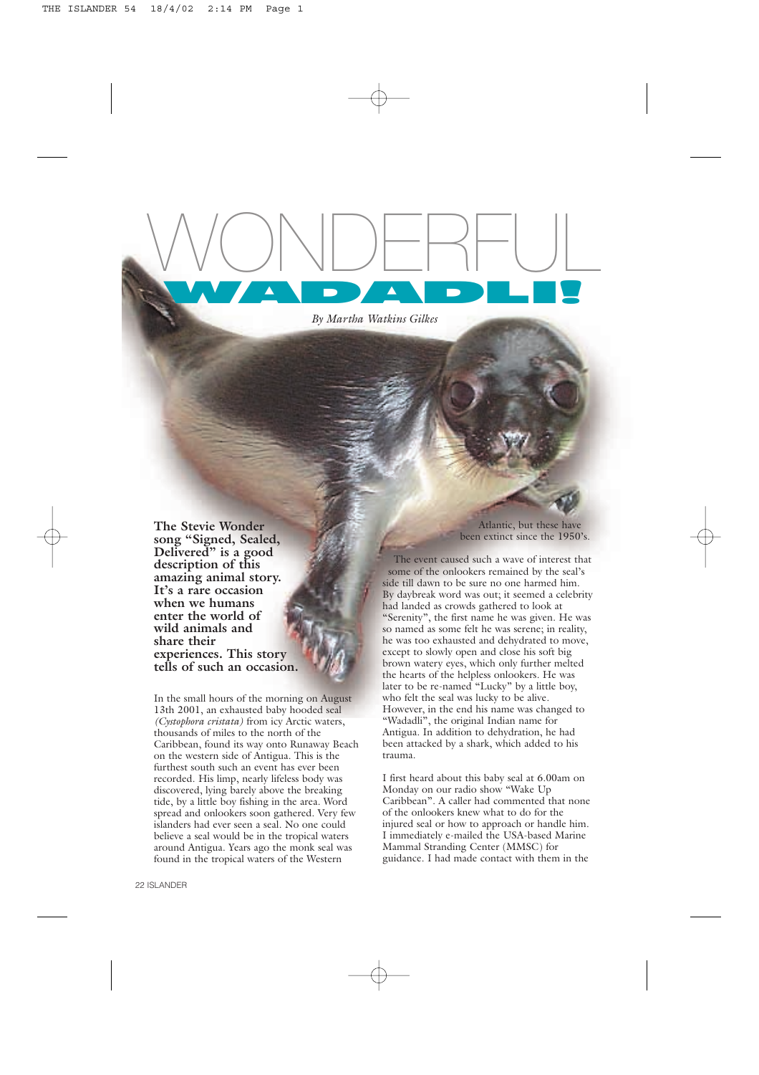

*By Martha Watkins Gilkes*

**The Stevie Wonder song "Signed, Sealed, Delivered" is a good description of this amazing animal story. It's a rare occasion when we humans enter the world of wild animals and share their experiences. This story tells of such an occasion.**

In the small hours of the morning on August 13th 2001, an exhausted baby hooded seal *(Cystophora cristata)* from icy Arctic waters, thousands of miles to the north of the Caribbean, found its way onto Runaway Beach on the western side of Antigua. This is the furthest south such an event has ever been recorded. His limp, nearly lifeless body was discovered, lying barely above the breaking tide, by a little boy fishing in the area. Word spread and onlookers soon gathered. Very few islanders had ever seen a seal. No one could believe a seal would be in the tropical waters around Antigua. Years ago the monk seal was found in the tropical waters of the Western

Atlantic, but these have been extinct since the 1950's.

The event caused such a wave of interest that some of the onlookers remained by the seal's side till dawn to be sure no one harmed him. By daybreak word was out; it seemed a celebrity had landed as crowds gathered to look at "Serenity", the first name he was given. He was so named as some felt he was serene; in reality he was too exhausted and dehydrated to move, except to slowly open and close his soft big brown watery eyes, which only further melted the hearts of the helpless onlookers. He was later to be re-named "Lucky" by a little boy, who felt the seal was lucky to be alive. However, in the end his name was changed to "Wadadli", the original Indian name for Antigua. In addition to dehydration, he had been attacked by a shark, which added to his trauma.

I first heard about this baby seal at 6.00am on Monday on our radio show "Wake Up Caribbean". A caller had commented that none of the onlookers knew what to do for the injured seal or how to approach or handle him. I immediately e-mailed the USA-based Marine Mammal Stranding Center (MMSC) for guidance. I had made contact with them in the